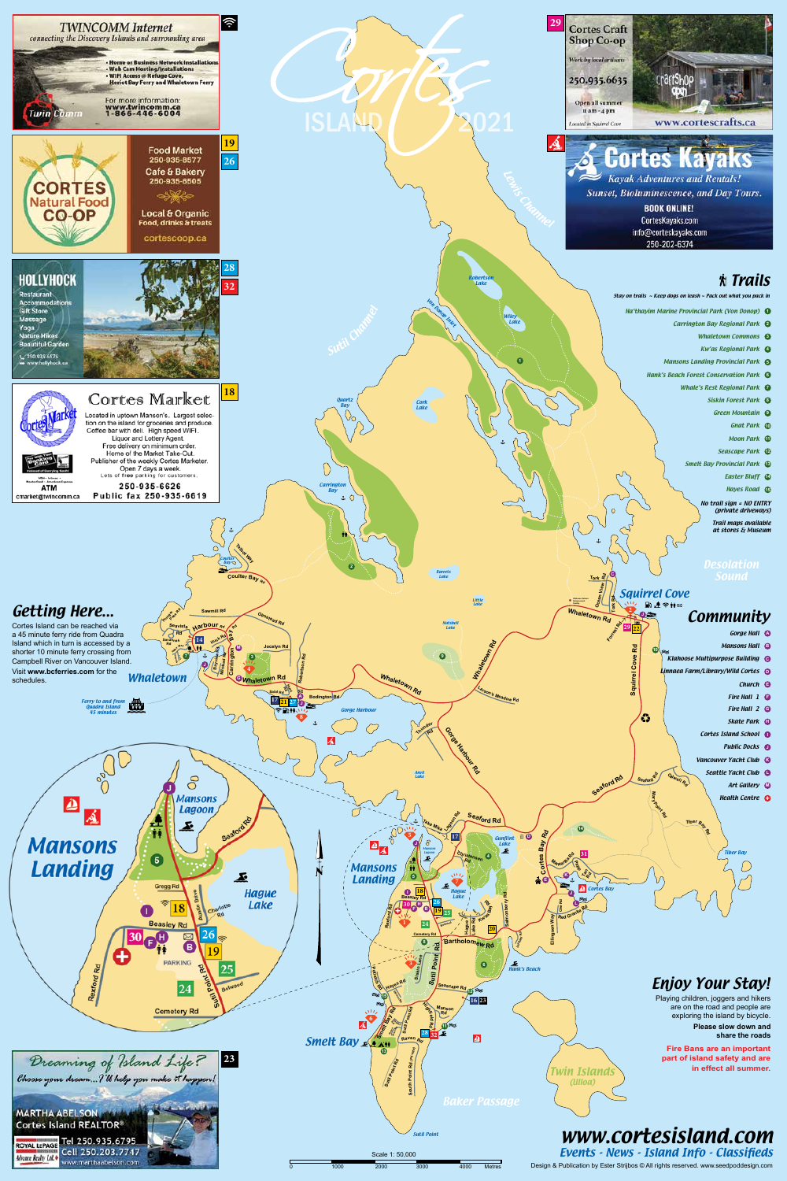